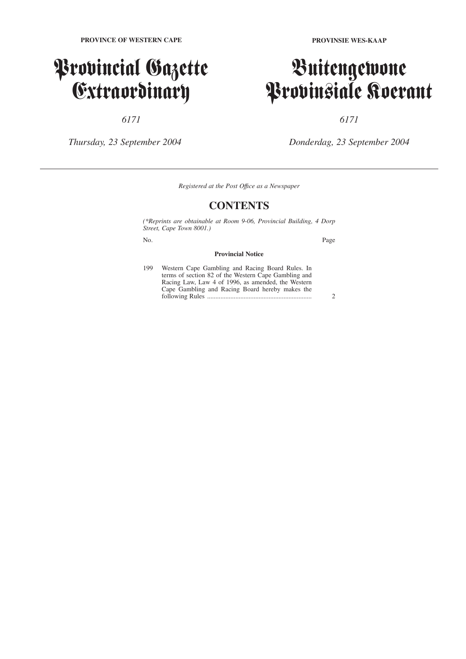## Provincial Gazette Extraordinary

*6171*

*Thursday, 23 September 2004*

## Buitengewone Provinsiale Koerant

*6171*

*Donderdag, 23 September 2004*

*Registered at the Post Offıce as a Newspaper*

### **CONTENTS**

*(\*Reprints are obtainable at Room 9-06, Provincial Building, 4 Dorp Street, Cape Town 8001.)*

No. Page

#### **Provincial Notice**

| 199 | Western Cape Gambling and Racing Board Rules. In     |  |
|-----|------------------------------------------------------|--|
|     | terms of section 82 of the Western Cape Gambling and |  |
|     | Racing Law, Law 4 of 1996, as amended, the Western   |  |
|     | Cape Gambling and Racing Board hereby makes the      |  |
|     |                                                      |  |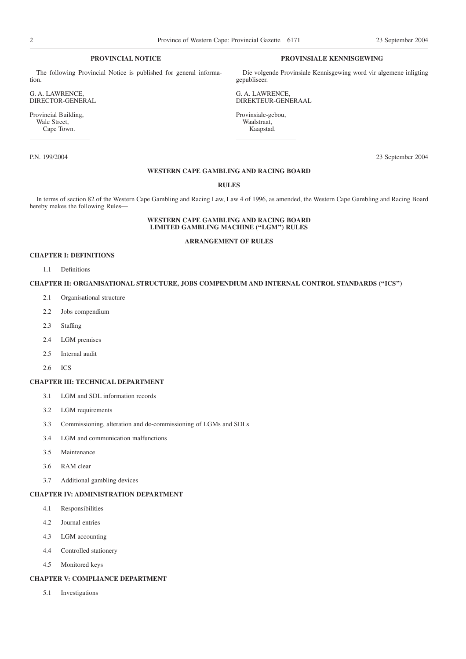#### **PROVINCIAL NOTICE**

The following Provincial Notice is published for general information.

G. A. LAWRENCE, DIRECTOR-GENERAL

Provincial Building, Wale Street, Cape Town.

#### **PROVINSIALE KENNISGEWING**

Die volgende Provinsiale Kennisgewing word vir algemene inligting gepubliseer.

G. A. LAWRENCE, DIREKTEUR-GENERAAL

Provinsiale-gebou, Waalstraat, Kaapstad.

P.N. 199/2004 23 September 2004

#### **WESTERN CAPE GAMBLING AND RACING BOARD**

#### **RULES**

In terms of section 82 of the Western Cape Gambling and Racing Law, Law 4 of 1996, as amended, the Western Cape Gambling and Racing Board hereby makes the following Rules—

#### **WESTERN CAPE GAMBLING AND RACING BOARD LIMITED GAMBLING MACHINE (''LGM'') RULES**

#### **ARRANGEMENT OF RULES**

#### **CHAPTER I: DEFINITIONS**

1.1 Definitions

#### **CHAPTER II: ORGANISATIONAL STRUCTURE, JOBS COMPENDIUM AND INTERNAL CONTROL STANDARDS (''ICS'')**

- 2.1 Organisational structure
- 2.2 Jobs compendium
- 2.3 Staffing
- 2.4 LGM premises
- 2.5 Internal audit
- 2.6 ICS

#### **CHAPTER III: TECHNICAL DEPARTMENT**

- 3.1 LGM and SDL information records
- 3.2 LGM requirements
- 3.3 Commissioning, alteration and de-commissioning of LGMs and SDLs
- 3.4 LGM and communication malfunctions
- 3.5 Maintenance
- 3.6 RAM clear
- 3.7 Additional gambling devices

#### **CHAPTER IV: ADMINISTRATION DEPARTMENT**

- 4.1 Responsibilities
- 4.2 Journal entries
- 4.3 LGM accounting
- 4.4 Controlled stationery
- 4.5 Monitored keys

#### **CHAPTER V: COMPLIANCE DEPARTMENT**

5.1 Investigations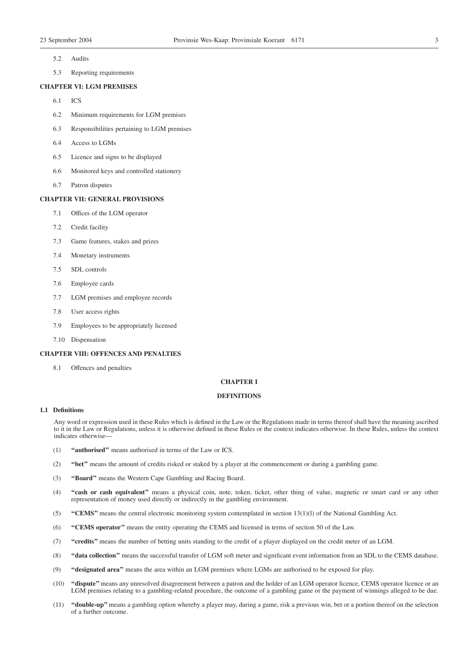- 5.2 Audits
- 5.3 Reporting requirements

#### **CHAPTER VI: LGM PREMISES**

- 6.1 ICS
- 6.2 Minimum requirements for LGM premises
- 6.3 Responsibilities pertaining to LGM premises
- 6.4 Access to LGMs
- 6.5 Licence and signs to be displayed
- 6.6 Monitored keys and controlled stationery
- 6.7 Patron disputes

#### **CHAPTER VII: GENERAL PROVISIONS**

- 7.1 Offices of the LGM operator
- 7.2 Credit facility
- 7.3 Game features, stakes and prizes
- 7.4 Monetary instruments
- 7.5 SDL controls
- 7.6 Employee cards
- 7.7 LGM premises and employee records
- 7.8 User access rights
- 7.9 Employees to be appropriately licensed
- 7.10 Dispensation

#### **CHAPTER VIII: OFFENCES AND PENALTIES**

8.1 Offences and penalties

#### **CHAPTER I**

#### **DEFINITIONS**

#### **1.1 Definitions**

Any word or expression used in these Rules which is defined in the Law or the Regulations made in terms thereof shall have the meaning ascribed to it in the Law or Regulations, unless it is otherwise defined in these Rules or the context indicates otherwise. In these Rules, unless the context indicates otherwise—

- (1) **''authorised''** means authorised in terms of the Law or ICS.
- (2) **''bet''** means the amount of credits risked or staked by a player at the commencement or during a gambling game.
- (3) **''Board''** means the Western Cape Gambling and Racing Board.
- (4) **''cash or cash equivalent''** means a physical coin, note, token, ticket, other thing of value, magnetic or smart card or any other representation of money used directly or indirectly in the gambling environment.
- (5) **''CEMS''** means the central electronic monitoring system contemplated in section 13(1)(l) of the National Gambling Act.
- (6) **''CEMS operator''** means the entity operating the CEMS and licensed in terms of section 50 of the Law.
- (7) **''credits''** means the number of betting units standing to the credit of a player displayed on the credit meter of an LGM.
- (8) **''data collection''** means the successful transfer of LGM soft meter and significant event information from an SDL to the CEMS database.
- (9) **''designated area''** means the area within an LGM premises where LGMs are authorised to be exposed for play.
- (10) **''dispute''** means any unresolved disagreement between a patron and the holder of an LGM operator licence, CEMS operator licence or an LGM premises relating to a gambling-related procedure, the outcome of a gambling game or the payment of winnings alleged to be due.
- (11) **''double-up''** means a gambling option whereby a player may, during a game, risk a previous win, bet or a portion thereof on the selection of a further outcome.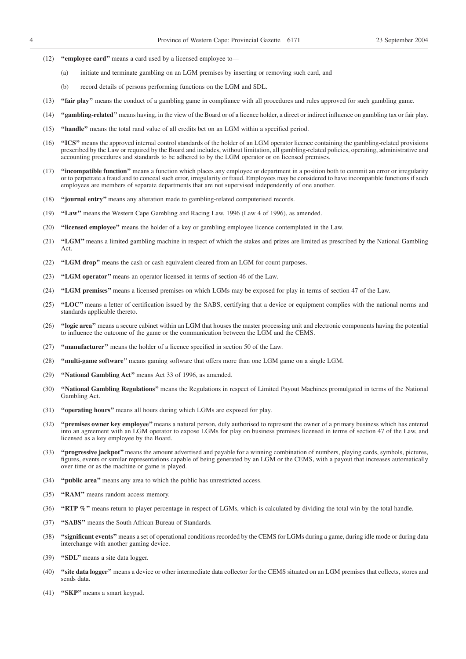- (12) **''employee card''** means a card used by a licensed employee to—
	- (a) initiate and terminate gambling on an LGM premises by inserting or removing such card, and
	- (b) record details of persons performing functions on the LGM and SDL.
- (13) **''fair play''** means the conduct of a gambling game in compliance with all procedures and rules approved for such gambling game.
- (14) **''gambling-related''** means having, in the view of the Board or of a licence holder, a direct or indirect influence on gambling tax or fair play.
- (15) **''handle''** means the total rand value of all credits bet on an LGM within a specified period.
- (16) **''ICS''** means the approved internal control standards of the holder of an LGM operator licence containing the gambling-related provisions prescribed by the Law or required by the Board and includes, without limitation, all gambling-related policies, operating, administrative and accounting procedures and standards to be adhered to by the LGM operator or on licensed premises.
- (17) **''incompatible function''** means a function which places any employee or department in a position both to commit an error or irregularity or to perpetrate a fraud and to conceal such error, irregularity or fraud. Employees may be considered to have incompatible functions if such employees are members of separate departments that are not supervised independently of one another.
- (18) **''journal entry''** means any alteration made to gambling-related computerised records.
- (19) **''Law''** means the Western Cape Gambling and Racing Law, 1996 (Law 4 of 1996), as amended.
- (20) **''licensed employee''** means the holder of a key or gambling employee licence contemplated in the Law.
- (21) **''LGM''** means a limited gambling machine in respect of which the stakes and prizes are limited as prescribed by the National Gambling Act.
- (22) **''LGM drop''** means the cash or cash equivalent cleared from an LGM for count purposes.
- (23) **''LGM operator''** means an operator licensed in terms of section 46 of the Law.
- (24) **''LGM premises''** means a licensed premises on which LGMs may be exposed for play in terms of section 47 of the Law.
- (25) **''LOC''** means a letter of certification issued by the SABS, certifying that a device or equipment complies with the national norms and standards applicable thereto.
- (26) **''logic area''** means a secure cabinet within an LGM that houses the master processing unit and electronic components having the potential to influence the outcome of the game or the communication between the LGM and the CEMS.
- (27) **''manufacturer''** means the holder of a licence specified in section 50 of the Law.
- (28) **''multi-game software''** means gaming software that offers more than one LGM game on a single LGM.
- (29) **''National Gambling Act''** means Act 33 of 1996, as amended.
- (30) **''National Gambling Regulations''** means the Regulations in respect of Limited Payout Machines promulgated in terms of the National Gambling Act.
- (31) **''operating hours''** means all hours during which LGMs are exposed for play.
- (32) **''premises owner key employee''** means a natural person, duly authorised to represent the owner of a primary business which has entered into an agreement with an LGM operator to expose LGMs for play on business premises licensed in terms of section 47 of the Law, and licensed as a key employee by the Board.
- (33) **''progressive jackpot''**means the amount advertised and payable for a winning combination of numbers, playing cards, symbols, pictures, figures, events or similar representations capable of being generated by an LGM or the CEMS, with a payout that increases automatically over time or as the machine or game is played.
- (34) **''public area''** means any area to which the public has unrestricted access.
- (35) **''RAM''** means random access memory.
- (36) **''RTP %''** means return to player percentage in respect of LGMs, which is calculated by dividing the total win by the total handle.
- (37) **''SABS''** means the South African Bureau of Standards.
- (38) **''significant events''** means a set of operational conditions recorded by the CEMS for LGMs during a game, during idle mode or during data interchange with another gaming device.
- (39) **''SDL''** means a site data logger.
- (40) **''site data logger''** means a device or other intermediate data collector for the CEMS situated on an LGM premises that collects, stores and sends data.
- (41) **''SKP''** means a smart keypad.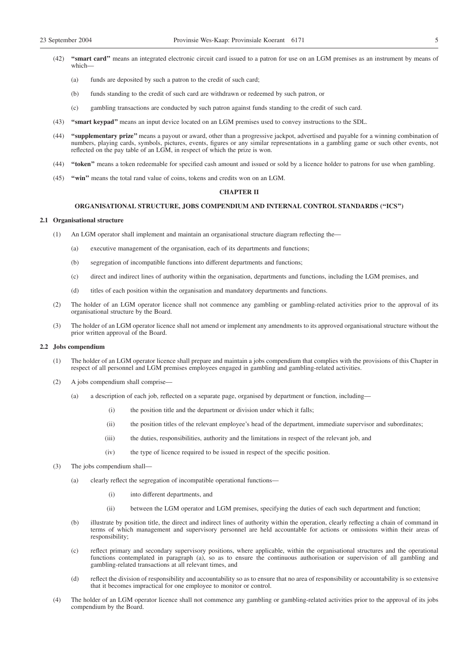- (42) **''smart card''** means an integrated electronic circuit card issued to a patron for use on an LGM premises as an instrument by means of which—
	- (a) funds are deposited by such a patron to the credit of such card;
	- (b) funds standing to the credit of such card are withdrawn or redeemed by such patron, or
	- (c) gambling transactions are conducted by such patron against funds standing to the credit of such card.
- (43) **''smart keypad''** means an input device located on an LGM premises used to convey instructions to the SDL.
- (44) **''supplementary prize''** means a payout or award, other than a progressive jackpot, advertised and payable for a winning combination of numbers, playing cards, symbols, pictures, events, figures or any similar representations in a gambling game or such other events, not reflected on the pay table of an LGM, in respect of which the prize is won.
- (44) **''token''** means a token redeemable for specified cash amount and issued or sold by a licence holder to patrons for use when gambling.
- (45) **''win''** means the total rand value of coins, tokens and credits won on an LGM.

#### **CHAPTER II**

#### **ORGANISATIONAL STRUCTURE, JOBS COMPENDIUM AND INTERNAL CONTROL STANDARDS (''ICS'')**

#### **2.1 Organisational structure**

- (1) An LGM operator shall implement and maintain an organisational structure diagram reflecting the—
	- (a) executive management of the organisation, each of its departments and functions;
	- (b) segregation of incompatible functions into different departments and functions;
	- (c) direct and indirect lines of authority within the organisation, departments and functions, including the LGM premises, and
	- (d) titles of each position within the organisation and mandatory departments and functions.
- (2) The holder of an LGM operator licence shall not commence any gambling or gambling-related activities prior to the approval of its organisational structure by the Board.
- (3) The holder of an LGM operator licence shall not amend or implement any amendments to its approved organisational structure without the prior written approval of the Board.

#### **2.2 Jobs compendium**

- (1) The holder of an LGM operator licence shall prepare and maintain a jobs compendium that complies with the provisions of this Chapter in respect of all personnel and LGM premises employees engaged in gambling and gambling-related activities.
- (2) A jobs compendium shall comprise—
	- (a) a description of each job, reflected on a separate page, organised by department or function, including—
		- (i) the position title and the department or division under which it falls;
		- (ii) the position titles of the relevant employee's head of the department, immediate supervisor and subordinates;
		- (iii) the duties, responsibilities, authority and the limitations in respect of the relevant job, and
		- (iv) the type of licence required to be issued in respect of the specific position.
- (3) The jobs compendium shall—
	- (a) clearly reflect the segregation of incompatible operational functions—
		- (i) into different departments, and
		- (ii) between the LGM operator and LGM premises, specifying the duties of each such department and function;
	- (b) illustrate by position title, the direct and indirect lines of authority within the operation, clearly reflecting a chain of command in terms of which management and supervisory personnel are held accountable for actions or omissions within their areas of responsibility:
	- (c) reflect primary and secondary supervisory positions, where applicable, within the organisational structures and the operational functions contemplated in paragraph (a), so as to ensure the continuous authorisation or supervision of all gambling and gambling-related transactions at all relevant times, and
	- (d) reflect the division of responsibility and accountability so as to ensure that no area of responsibility or accountability is so extensive that it becomes impractical for one employee to monitor or control.
- (4) The holder of an LGM operator licence shall not commence any gambling or gambling-related activities prior to the approval of its jobs compendium by the Board.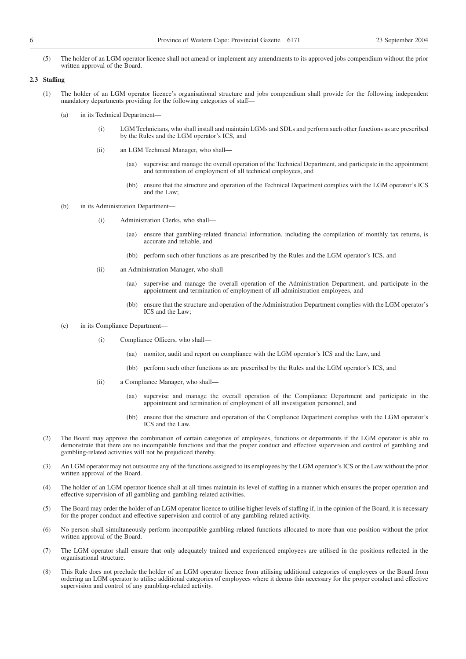(5) The holder of an LGM operator licence shall not amend or implement any amendments to its approved jobs compendium without the prior written approval of the Board.

#### **2.3 Staffing**

- (1) The holder of an LGM operator licence's organisational structure and jobs compendium shall provide for the following independent mandatory departments providing for the following categories of staff—
	- (a) in its Technical Department—
		- (i) LGM Technicians, who shall install and maintain LGMs and SDLs and perform such other functions as are prescribed by the Rules and the LGM operator's ICS, and
		- (ii) an LGM Technical Manager, who shall—
			- (aa) supervise and manage the overall operation of the Technical Department, and participate in the appointment and termination of employment of all technical employees, and
			- (bb) ensure that the structure and operation of the Technical Department complies with the LGM operator's ICS and the Law;
	- (b) in its Administration Department—
		- (i) Administration Clerks, who shall
			- ensure that gambling-related financial information, including the compilation of monthly tax returns, is accurate and reliable, and
			- (bb) perform such other functions as are prescribed by the Rules and the LGM operator's ICS, and
		- (ii) an Administration Manager, who shall—
			- (aa) supervise and manage the overall operation of the Administration Department, and participate in the appointment and termination of employment of all administration employees, and
			- (bb) ensure that the structure and operation of the Administration Department complies with the LGM operator's ICS and the Law;
	- (c) in its Compliance Department—
		- (i) Compliance Officers, who shall—
			- (aa) monitor, audit and report on compliance with the LGM operator's ICS and the Law, and
			- (bb) perform such other functions as are prescribed by the Rules and the LGM operator's ICS, and
		- (ii) a Compliance Manager, who shall—
			- (aa) supervise and manage the overall operation of the Compliance Department and participate in the appointment and termination of employment of all investigation personnel, and
			- (bb) ensure that the structure and operation of the Compliance Department complies with the LGM operator's ICS and the Law.
- (2) The Board may approve the combination of certain categories of employees, functions or departments if the LGM operator is able to demonstrate that there are no incompatible functions and that the proper conduct and effective supervision and control of gambling and gambling-related activities will not be prejudiced thereby.
- (3) An LGM operator may not outsource any of the functions assigned to its employees by the LGM operator's ICS or the Law without the prior written approval of the Board.
- (4) The holder of an LGM operator licence shall at all times maintain its level of staffing in a manner which ensures the proper operation and effective supervision of all gambling and gambling-related activities.
- (5) The Board may order the holder of an LGM operator licence to utilise higher levels of staffing if, in the opinion of the Board, it is necessary for the proper conduct and effective supervision and control of any gambling-related activity.
- (6) No person shall simultaneously perform incompatible gambling-related functions allocated to more than one position without the prior written approval of the Board.
- (7) The LGM operator shall ensure that only adequately trained and experienced employees are utilised in the positions reflected in the organisational structure.
- (8) This Rule does not preclude the holder of an LGM operator licence from utilising additional categories of employees or the Board from ordering an LGM operator to utilise additional categories of employees where it deems this necessary for the proper conduct and effective supervision and control of any gambling-related activity.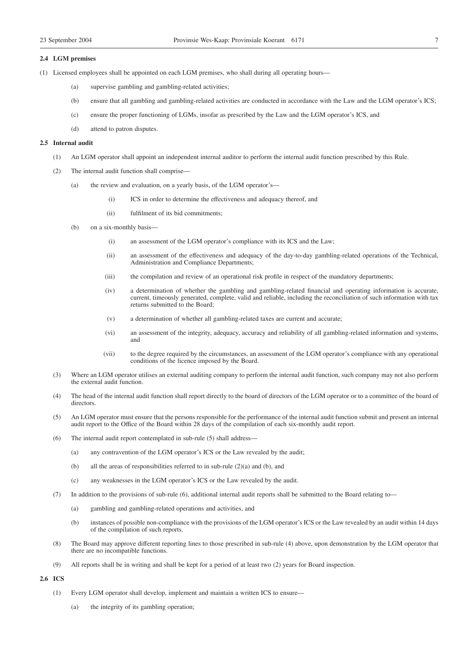#### **2.4 LGM premises**

- (1) Licensed employees shall be appointed on each LGM premises, who shall during all operating hours—
	- (a) supervise gambling and gambling-related activities;
	- (b) ensure that all gambling and gambling-related activities are conducted in accordance with the Law and the LGM operator's ICS;
	- (c) ensure the proper functioning of LGMs, insofar as prescribed by the Law and the LGM operator's ICS, and
	- (d) attend to patron disputes.

#### **2.5 Internal audit**

- (1) An LGM operator shall appoint an independent internal auditor to perform the internal audit function prescribed by this Rule.
- (2) The internal audit function shall comprise—
	- (a) the review and evaluation, on a yearly basis, of the LGM operator's—
		- (i) ICS in order to determine the effectiveness and adequacy thereof, and
		- (ii) fulfilment of its bid commitments;
	- (b) on a six-monthly basis—
		- (i) an assessment of the LGM operator's compliance with its ICS and the Law;
		- (ii) an assessment of the effectiveness and adequacy of the day-to-day gambling-related operations of the Technical, Administration and Compliance Departments;
		- (iii) the compilation and review of an operational risk profile in respect of the mandatory departments;
		- (iv) a determination of whether the gambling and gambling-related financial and operating information is accurate, current, timeously generated, complete, valid and reliable, including the reconciliation of such information with tax returns submitted to the Board;
		- (v) a determination of whether all gambling-related taxes are current and accurate;
		- (vi) an assessment of the integrity, adequacy, accuracy and reliability of all gambling-related information and systems, and
		- (vii) to the degree required by the circumstances, an assessment of the LGM operator's compliance with any operational conditions of the licence imposed by the Board.
- (3) Where an LGM operator utilises an external auditing company to perform the internal audit function, such company may not also perform the external audit function.
- (4) The head of the internal audit function shall report directly to the board of directors of the LGM operator or to a committee of the board of directors.
- (5) An LGM operator must ensure that the persons responsible for the performance of the internal audit function submit and present an internal audit report to the Office of the Board within 28 days of the compilation of each six-monthly audit report.
- (6) The internal audit report contemplated in sub-rule (5) shall address—
	- (a) any contravention of the LGM operator's ICS or the Law revealed by the audit;
	- (b) all the areas of responsibilities referred to in sub-rule (2)(a) and (b), and
	- (c) any weaknesses in the LGM operator's ICS or the Law revealed by the audit.
- (7) In addition to the provisions of sub-rule (6), additional internal audit reports shall be submitted to the Board relating to—
	- (a) gambling and gambling-related operations and activities, and
	- (b) instances of possible non-compliance with the provisions of the LGM operator's ICS or the Law revealed by an audit within 14 days of the compilation of such reports.
- (8) The Board may approve different reporting lines to those prescribed in sub-rule (4) above, upon demonstration by the LGM operator that there are no incompatible functions.
- (9) All reports shall be in writing and shall be kept for a period of at least two (2) years for Board inspection.

#### **2.6 ICS**

- (1) Every LGM operator shall develop, implement and maintain a written ICS to ensure—
	- (a) the integrity of its gambling operation;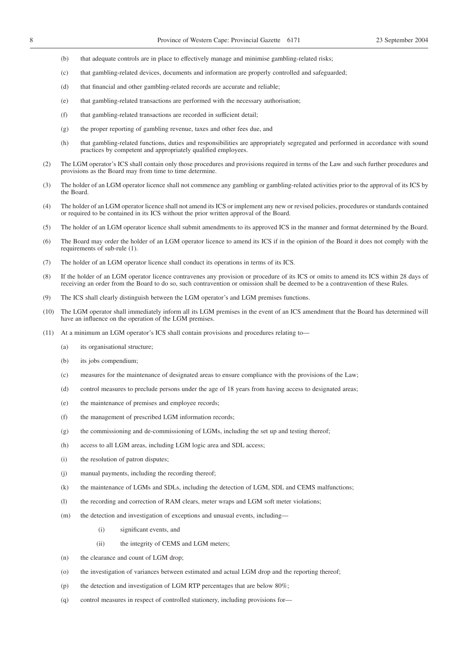- (b) that adequate controls are in place to effectively manage and minimise gambling-related risks;
- (c) that gambling-related devices, documents and information are properly controlled and safeguarded;
- (d) that financial and other gambling-related records are accurate and reliable;
- (e) that gambling-related transactions are performed with the necessary authorisation;
- (f) that gambling-related transactions are recorded in sufficient detail;
- (g) the proper reporting of gambling revenue, taxes and other fees due, and
- (h) that gambling-related functions, duties and responsibilities are appropriately segregated and performed in accordance with sound practices by competent and appropriately qualified employees.
- (2) The LGM operator's ICS shall contain only those procedures and provisions required in terms of the Law and such further procedures and provisions as the Board may from time to time determine.
- (3) The holder of an LGM operator licence shall not commence any gambling or gambling-related activities prior to the approval of its ICS by the Board.
- (4) The holder of an LGM operator licence shall not amend its ICS or implement any new or revised policies, procedures or standards contained or required to be contained in its ICS without the prior written approval of the Board.
- (5) The holder of an LGM operator licence shall submit amendments to its approved ICS in the manner and format determined by the Board.
- (6) The Board may order the holder of an LGM operator licence to amend its ICS if in the opinion of the Board it does not comply with the requirements of sub-rule (1).
- (7) The holder of an LGM operator licence shall conduct its operations in terms of its ICS.
- (8) If the holder of an LGM operator licence contravenes any provision or procedure of its ICS or omits to amend its ICS within 28 days of receiving an order from the Board to do so, such contravention or omission shall be deemed to be a contravention of these Rules.
- (9) The ICS shall clearly distinguish between the LGM operator's and LGM premises functions.
- (10) The LGM operator shall immediately inform all its LGM premises in the event of an ICS amendment that the Board has determined will have an influence on the operation of the LGM premises.
- (11) At a minimum an LGM operator's ICS shall contain provisions and procedures relating to—
	- (a) its organisational structure;
	- (b) its jobs compendium;
	- (c) measures for the maintenance of designated areas to ensure compliance with the provisions of the Law;
	- (d) control measures to preclude persons under the age of 18 years from having access to designated areas;
	- (e) the maintenance of premises and employee records;
	- (f) the management of prescribed LGM information records;
	- (g) the commissioning and de-commissioning of LGMs, including the set up and testing thereof;
	- (h) access to all LGM areas, including LGM logic area and SDL access;
	- (i) the resolution of patron disputes;
	- (j) manual payments, including the recording thereof;
	- (k) the maintenance of LGMs and SDLs, including the detection of LGM, SDL and CEMS malfunctions;
	- (l) the recording and correction of RAM clears, meter wraps and LGM soft meter violations;
	- (m) the detection and investigation of exceptions and unusual events, including—
		- (i) significant events, and
		- (ii) the integrity of CEMS and LGM meters;
	- (n) the clearance and count of LGM drop;
	- (o) the investigation of variances between estimated and actual LGM drop and the reporting thereof;
	- (p) the detection and investigation of LGM RTP percentages that are below 80%;
	- (q) control measures in respect of controlled stationery, including provisions for—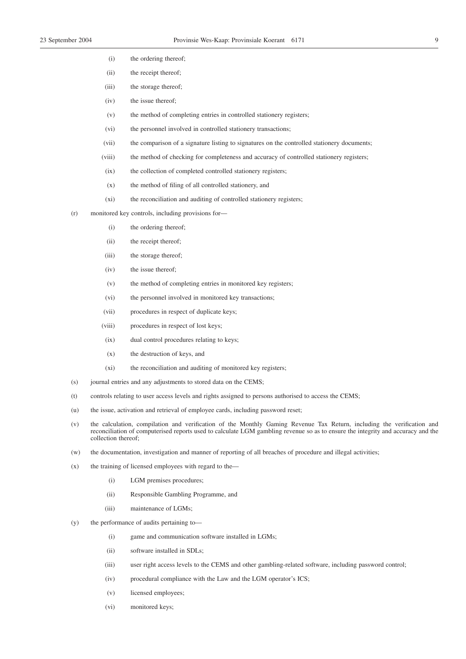- (i) the ordering thereof;
- (ii) the receipt thereof;
- (iii) the storage thereof;
- (iv) the issue thereof;
- (v) the method of completing entries in controlled stationery registers;
- (vi) the personnel involved in controlled stationery transactions;
- (vii) the comparison of a signature listing to signatures on the controlled stationery documents;
- (viii) the method of checking for completeness and accuracy of controlled stationery registers;
- (ix) the collection of completed controlled stationery registers;
- (x) the method of filing of all controlled stationery, and
- (xi) the reconciliation and auditing of controlled stationery registers;
- (r) monitored key controls, including provisions for—
	- (i) the ordering thereof;
	- (ii) the receipt thereof;
	- (iii) the storage thereof;
	- (iv) the issue thereof;
	- (v) the method of completing entries in monitored key registers;
	- (vi) the personnel involved in monitored key transactions;
	- (vii) procedures in respect of duplicate keys;
	- (viii) procedures in respect of lost keys;
	- (ix) dual control procedures relating to keys;
	- (x) the destruction of keys, and
	- (xi) the reconciliation and auditing of monitored key registers;
- (s) journal entries and any adjustments to stored data on the CEMS;
- (t) controls relating to user access levels and rights assigned to persons authorised to access the CEMS;
- (u) the issue, activation and retrieval of employee cards, including password reset;
- (v) the calculation, compilation and verification of the Monthly Gaming Revenue Tax Return, including the verification and reconciliation of computerised reports used to calculate LGM gambling revenue so as to ensure the integrity and accuracy and the collection thereof;
- (w) the documentation, investigation and manner of reporting of all breaches of procedure and illegal activities;
- (x) the training of licensed employees with regard to the—
	- (i) LGM premises procedures;
	- (ii) Responsible Gambling Programme, and
	- (iii) maintenance of LGMs;
- (y) the performance of audits pertaining to—
	- (i) game and communication software installed in LGMs;
	- (ii) software installed in SDLs;
	- (iii) user right access levels to the CEMS and other gambling-related software, including password control;
	- (iv) procedural compliance with the Law and the LGM operator's ICS;
	- (v) licensed employees;
	- (vi) monitored keys;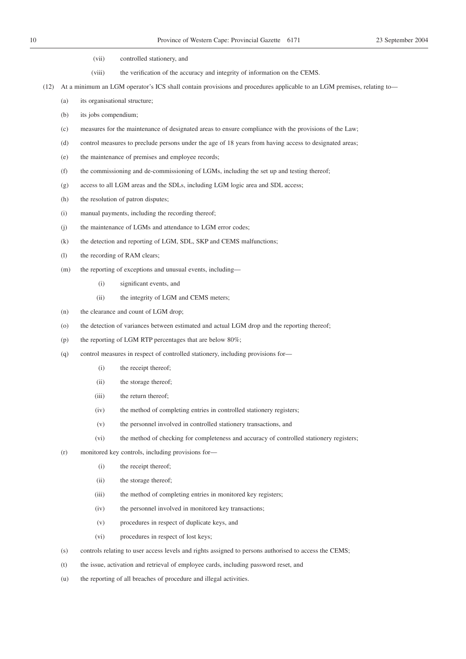- (vii) controlled stationery, and
- (viii) the verification of the accuracy and integrity of information on the CEMS.
- (12) At a minimum an LGM operator's ICS shall contain provisions and procedures applicable to an LGM premises, relating to—
	- (a) its organisational structure;
	- (b) its jobs compendium;
	- (c) measures for the maintenance of designated areas to ensure compliance with the provisions of the Law;
	- (d) control measures to preclude persons under the age of 18 years from having access to designated areas;
	- (e) the maintenance of premises and employee records;
	- (f) the commissioning and de-commissioning of LGMs, including the set up and testing thereof;
	- (g) access to all LGM areas and the SDLs, including LGM logic area and SDL access;
	- (h) the resolution of patron disputes;
	- (i) manual payments, including the recording thereof;
	- (j) the maintenance of LGMs and attendance to LGM error codes;
	- (k) the detection and reporting of LGM, SDL, SKP and CEMS malfunctions;
	- (l) the recording of RAM clears;
	- (m) the reporting of exceptions and unusual events, including—
		- (i) significant events, and
		- (ii) the integrity of LGM and CEMS meters;
	- (n) the clearance and count of LGM drop;
	- (o) the detection of variances between estimated and actual LGM drop and the reporting thereof;
	- (p) the reporting of LGM RTP percentages that are below 80%;
	- (q) control measures in respect of controlled stationery, including provisions for—
		- (i) the receipt thereof;
		- (ii) the storage thereof;
		- (iii) the return thereof;
		- (iv) the method of completing entries in controlled stationery registers;
		- (v) the personnel involved in controlled stationery transactions, and
		- (vi) the method of checking for completeness and accuracy of controlled stationery registers;
	- (r) monitored key controls, including provisions for—
		- (i) the receipt thereof;
		- (ii) the storage thereof;
		- (iii) the method of completing entries in monitored key registers;
		- (iv) the personnel involved in monitored key transactions;
		- (v) procedures in respect of duplicate keys, and
		- (vi) procedures in respect of lost keys;
	- (s) controls relating to user access levels and rights assigned to persons authorised to access the CEMS;
	- (t) the issue, activation and retrieval of employee cards, including password reset, and
	- (u) the reporting of all breaches of procedure and illegal activities.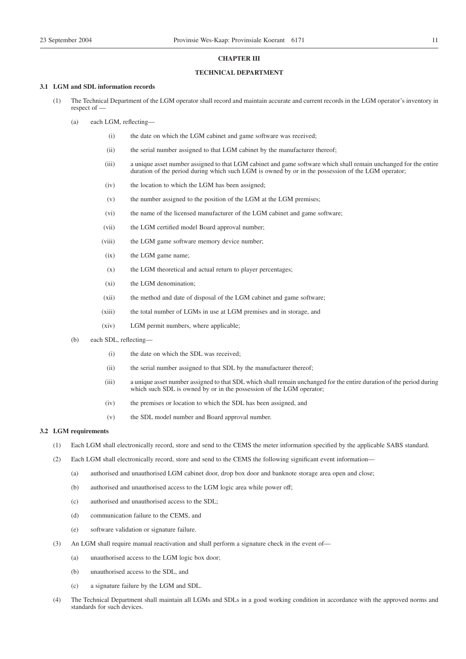#### **CHAPTER III**

#### **TECHNICAL DEPARTMENT**

#### **3.1 LGM and SDL information records**

- (1) The Technical Department of the LGM operator shall record and maintain accurate and current records in the LGM operator's inventory in respect of —
	- (a) each LGM, reflecting—
		- (i) the date on which the LGM cabinet and game software was received;
		- (ii) the serial number assigned to that LGM cabinet by the manufacturer thereof;
		- (iii) a unique asset number assigned to that LGM cabinet and game software which shall remain unchanged for the entire duration of the period during which such LGM is owned by or in the possession of the LGM operator;
		- (iv) the location to which the LGM has been assigned;
		- (v) the number assigned to the position of the LGM at the LGM premises;
		- (vi) the name of the licensed manufacturer of the LGM cabinet and game software;
		- (vii) the LGM certified model Board approval number;
		- (viii) the LGM game software memory device number;
		- (ix) the LGM game name;
		- (x) the LGM theoretical and actual return to player percentages;
		- (xi) the LGM denomination;
		- (xii) the method and date of disposal of the LGM cabinet and game software;
		- (xiii) the total number of LGMs in use at LGM premises and in storage, and
		- (xiv) LGM permit numbers, where applicable;
	- (b) each SDL, reflecting—
		- (i) the date on which the SDL was received;
		- (ii) the serial number assigned to that SDL by the manufacturer thereof;
		- (iii) a unique asset number assigned to that SDL which shall remain unchanged for the entire duration of the period during which such SDL is owned by or in the possession of the LGM operator;
		- (iv) the premises or location to which the SDL has been assigned, and
		- (v) the SDL model number and Board approval number.

#### **3.2 LGM requirements**

- (1) Each LGM shall electronically record, store and send to the CEMS the meter information specified by the applicable SABS standard.
- (2) Each LGM shall electronically record, store and send to the CEMS the following significant event information—
	- (a) authorised and unauthorised LGM cabinet door, drop box door and banknote storage area open and close;
	- (b) authorised and unauthorised access to the LGM logic area while power off;
	- (c) authorised and unauthorised access to the SDL;
	- (d) communication failure to the CEMS, and
	- (e) software validation or signature failure.
- (3) An LGM shall require manual reactivation and shall perform a signature check in the event of—
	- (a) unauthorised access to the LGM logic box door;
	- (b) unauthorised access to the SDL, and
	- (c) a signature failure by the LGM and SDL.
- (4) The Technical Department shall maintain all LGMs and SDLs in a good working condition in accordance with the approved norms and standards for such devices.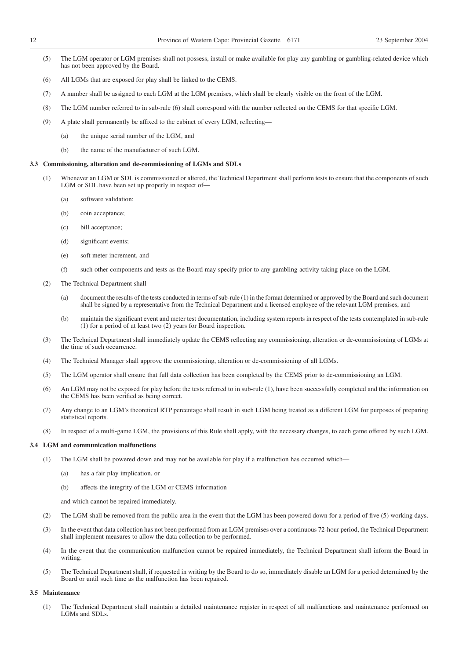- (5) The LGM operator or LGM premises shall not possess, install or make available for play any gambling or gambling-related device which has not been approved by the Board.
- (6) All LGMs that are exposed for play shall be linked to the CEMS.
- (7) A number shall be assigned to each LGM at the LGM premises, which shall be clearly visible on the front of the LGM.
- (8) The LGM number referred to in sub-rule (6) shall correspond with the number reflected on the CEMS for that specific LGM.
- (9) A plate shall permanently be affixed to the cabinet of every LGM, reflecting—
	- (a) the unique serial number of the LGM, and
	- (b) the name of the manufacturer of such LGM.

#### **3.3 Commissioning, alteration and de-commissioning of LGMs and SDLs**

- (1) Whenever an LGM or SDL is commissioned or altered, the Technical Department shall perform tests to ensure that the components of such LGM or SDL have been set up properly in respect of—
	- (a) software validation;
	- (b) coin acceptance;
	- (c) bill acceptance;
	- (d) significant events;
	- (e) soft meter increment, and
	- (f) such other components and tests as the Board may specify prior to any gambling activity taking place on the LGM.
- (2) The Technical Department shall—
	- (a) document the results of the tests conducted in terms of sub-rule (1) in the format determined or approved by the Board and such document shall be signed by a representative from the Technical Department and a licensed employee of the relevant LGM premises, and
	- (b) maintain the significant event and meter test documentation, including system reports in respect of the tests contemplated in sub-rule (1) for a period of at least two (2) years for Board inspection.
- (3) The Technical Department shall immediately update the CEMS reflecting any commissioning, alteration or de-commissioning of LGMs at the time of such occurrence.
- (4) The Technical Manager shall approve the commissioning, alteration or de-commissioning of all LGMs.
- (5) The LGM operator shall ensure that full data collection has been completed by the CEMS prior to de-commissioning an LGM.
- (6) An LGM may not be exposed for play before the tests referred to in sub-rule (1), have been successfully completed and the information on the CEMS has been verified as being correct.
- (7) Any change to an LGM's theoretical RTP percentage shall result in such LGM being treated as a different LGM for purposes of preparing statistical reports.
- (8) In respect of a multi-game LGM, the provisions of this Rule shall apply, with the necessary changes, to each game offered by such LGM.

#### **3.4 LGM and communication malfunctions**

- (1) The LGM shall be powered down and may not be available for play if a malfunction has occurred which—
	- (a) has a fair play implication, or
	- (b) affects the integrity of the LGM or CEMS information

and which cannot be repaired immediately.

- (2) The LGM shall be removed from the public area in the event that the LGM has been powered down for a period of five (5) working days.
- (3) In the event that data collection has not been performed from an LGM premises over a continuous 72-hour period, the Technical Department shall implement measures to allow the data collection to be performed.
- (4) In the event that the communication malfunction cannot be repaired immediately, the Technical Department shall inform the Board in writing.
- (5) The Technical Department shall, if requested in writing by the Board to do so, immediately disable an LGM for a period determined by the Board or until such time as the malfunction has been repaired.

#### **3.5 Maintenance**

(1) The Technical Department shall maintain a detailed maintenance register in respect of all malfunctions and maintenance performed on LGMs and SDLs.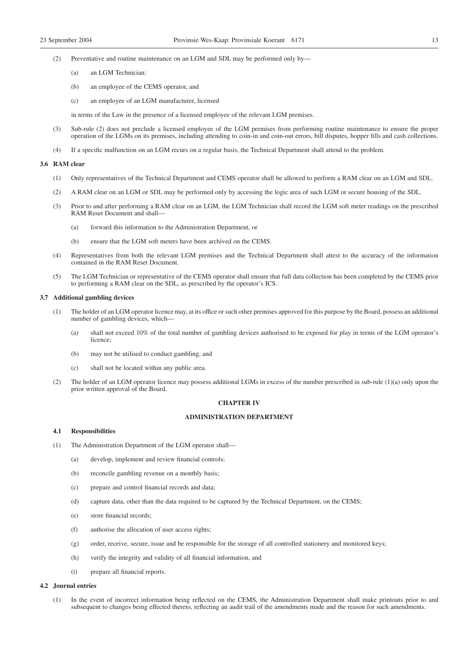- (2) Preventative and routine maintenance on an LGM and SDL may be performed only by—
	- (a) an LGM Technician;
	- (b) an employee of the CEMS operator, and
	- (c) an employee of an LGM manufacturer, licensed

in terms of the Law in the presence of a licensed employee of the relevant LGM premises.

- (3) Sub-rule (2) does not preclude a licensed employee of the LGM premises from performing routine maintenance to ensure the proper operation of the LGMs on its premises, including attending to coin-in and coin-out errors, bill disputes, hopper fills and cash collections.
- (4) If a specific malfunction on an LGM recurs on a regular basis, the Technical Department shall attend to the problem.

#### **3.6 RAM clear**

- (1) Only representatives of the Technical Department and CEMS operator shall be allowed to perform a RAM clear on an LGM and SDL.
- (2) A RAM clear on an LGM or SDL may be performed only by accessing the logic area of such LGM or secure housing of the SDL.
- (3) Prior to and after performing a RAM clear on an LGM, the LGM Technician shall record the LGM soft meter readings on the prescribed RAM Reset Document and shall-
	- (a) forward this information to the Administration Department, or
	- (b) ensure that the LGM soft meters have been archived on the CEMS.
- (4) Representatives from both the relevant LGM premises and the Technical Department shall attest to the accuracy of the information contained in the RAM Reset Document.
- (5) The LGM Technician or representative of the CEMS operator shall ensure that full data collection has been completed by the CEMS prior to performing a RAM clear on the SDL, as prescribed by the operator's ICS.

#### **3.7 Additional gambling devices**

- (1) The holder of an LGM operator licence may, at its office or such other premises approved for this purpose by the Board, possess an additional number of gambling devices, which—
	- (a) shall not exceed 10% of the total number of gambling devices authorised to be exposed for play in terms of the LGM operator's licence;
	- (b) may not be utilised to conduct gambling, and
	- (c) shall not be located within any public area.
- (2) The holder of an LGM operator licence may possess additional LGMs in excess of the number prescribed in sub-rule (1)(a) only upon the prior written approval of the Board.

#### **CHAPTER IV**

#### **ADMINISTRATION DEPARTMENT**

#### **4.1 Responsibilities**

- (1) The Administration Department of the LGM operator shall—
	- (a) develop, implement and review financial controls;
	- (b) reconcile gambling revenue on a monthly basis;
	- (c) prepare and control financial records and data;
	- (d) capture data, other than the data required to be captured by the Technical Department, on the CEMS;
	- (e) store financial records;
	- (f) authorise the allocation of user access rights;
	- (g) order, receive, secure, issue and be responsible for the storage of all controlled stationery and monitored keys;
	- (h) verify the integrity and validity of all financial information, and
	- (i) prepare all financial reports.

#### **4.2 Journal entries**

(1) In the event of incorrect information being reflected on the CEMS, the Administration Department shall make printouts prior to and subsequent to changes being effected thereto, reflecting an audit trail of the amendments made and the reason for such amendments.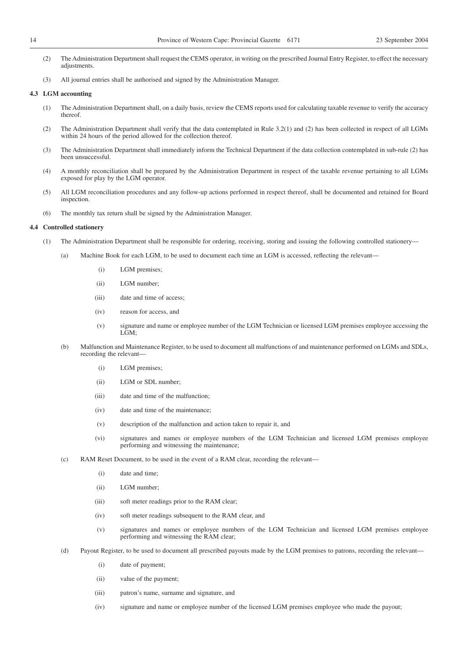- (2) The Administration Department shall request the CEMS operator, in writing on the prescribed Journal Entry Register, to effect the necessary adjustments.
- (3) All journal entries shall be authorised and signed by the Administration Manager.

#### **4.3 LGM accounting**

- (1) The Administration Department shall, on a daily basis, review the CEMS reports used for calculating taxable revenue to verify the accuracy thereof.
- (2) The Administration Department shall verify that the data contemplated in Rule 3.2(1) and (2) has been collected in respect of all LGMs within 24 hours of the period allowed for the collection thereof.
- (3) The Administration Department shall immediately inform the Technical Department if the data collection contemplated in sub-rule (2) has been unsuccessful.
- (4) A monthly reconciliation shall be prepared by the Administration Department in respect of the taxable revenue pertaining to all LGMs exposed for play by the LGM operator.
- (5) All LGM reconciliation procedures and any follow-up actions performed in respect thereof, shall be documented and retained for Board inspection.
- (6) The monthly tax return shall be signed by the Administration Manager.

#### **4.4 Controlled stationery**

- (1) The Administration Department shall be responsible for ordering, receiving, storing and issuing the following controlled stationery—
	- (a) Machine Book for each LGM, to be used to document each time an LGM is accessed, reflecting the relevant—
		- (i) LGM premises;
		- (ii) LGM number;
		- (iii) date and time of access;
		- (iv) reason for access, and
		- (v) signature and name or employee number of the LGM Technician or licensed LGM premises employee accessing the LGM;
	- (b) Malfunction and Maintenance Register, to be used to document all malfunctions of and maintenance performed on LGMs and SDLs, recording the relevant—
		- (i) LGM premises;
		- (ii) LGM or SDL number;
		- (iii) date and time of the malfunction;
		- (iv) date and time of the maintenance;
		- (v) description of the malfunction and action taken to repair it, and
		- (vi) signatures and names or employee numbers of the LGM Technician and licensed LGM premises employee performing and witnessing the maintenance;
	- (c) RAM Reset Document, to be used in the event of a RAM clear, recording the relevant—
		- (i) date and time;
		- (ii) LGM number;
		- (iii) soft meter readings prior to the RAM clear;
		- (iv) soft meter readings subsequent to the RAM clear, and
		- (v) signatures and names or employee numbers of the LGM Technician and licensed LGM premises employee performing and witnessing the RAM clear;
	- (d) Payout Register, to be used to document all prescribed payouts made by the LGM premises to patrons, recording the relevant—
		- (i) date of payment;
		- (ii) value of the payment;
		- (iii) patron's name, surname and signature, and
		- (iv) signature and name or employee number of the licensed LGM premises employee who made the payout;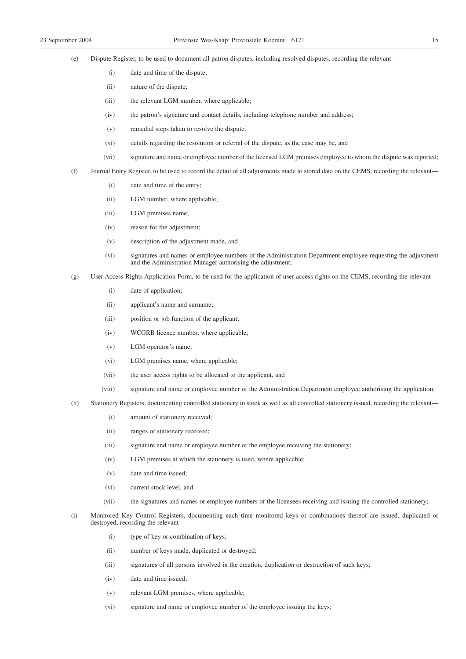(e) Dispute Register, to be used to document all patron disputes, including resolved disputes, recording the relevant—

- (i) date and time of the dispute;
- (ii) nature of the dispute;
- (iii) the relevant LGM number, where applicable;
- (iv) the patron's signature and contact details, including telephone number and address;
- (v) remedial steps taken to resolve the dispute,
- (vi) details regarding the resolution or referral of the dispute, as the case may be, and
- (vii) signature and name or employee number of the licensed LGM premises employee to whom the dispute was reported;
- (f) Journal Entry Register, to be used to record the detail of all adjustments made to stored data on the CEMS, recording the relevant—
	- (i) date and time of the entry;
	- (ii) LGM number, where applicable;
	- (iii) LGM premises name;
	- (iv) reason for the adjustment;
	- (v) description of the adjustment made, and
	- (vi) signatures and names or employee numbers of the Administration Department employee requesting the adjustment and the Administration Manager authorising the adjustment;
- (g) User Access Rights Application Form, to be used for the application of user access rights on the CEMS, recording the relevant—
	- (i) date of application;
	- (ii) applicant's name and surname;
	- (iii) position or job function of the applicant;
	- (iv) WCGRB licence number, where applicable;
	- (v) LGM operator's name;
	- (vi) LGM premises name, where applicable;
	- (vii) the user access rights to be allocated to the applicant, and
	- (viii) signature and name or employee number of the Administration Department employee authorising the application;
- (h) Stationery Registers, documenting controlled stationery in stock as well as all controlled stationery issued, recording the relevant—
	- (i) amount of stationery received;
	- (ii) ranges of stationery received;
	- (iii) signature and name or employee number of the employee receiving the stationery;
	- (iv) LGM premises at which the stationery is used, where applicable;
	- (v) date and time issued;
	- (vi) current stock level, and
	- (vii) the signatures and names or employee numbers of the licensees receiving and issuing the controlled stationery;
- (i) Monitored Key Control Registers, documenting each time monitored keys or combinations thereof are issued, duplicated or destroyed, recording the relevant—
	- (i) type of key or combination of keys;
	- (ii) number of keys made, duplicated or destroyed;
	- (iii) signatures of all persons involved in the creation, duplication or destruction of such keys;
	- (iv) date and time issued;
	- (v) relevant LGM premises, where applicable;
	- (vi) signature and name or employee number of the employee issuing the keys;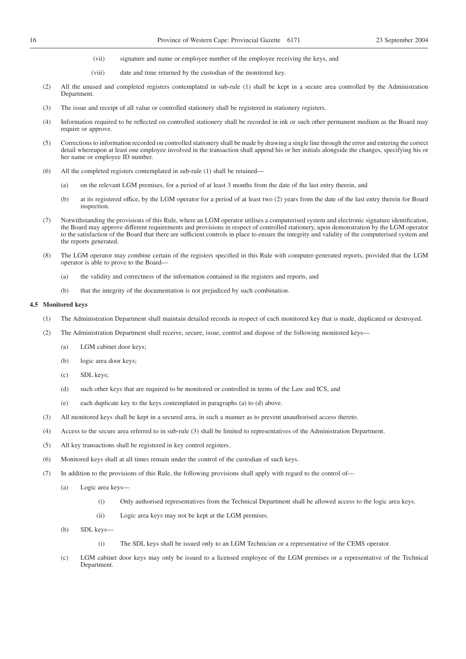- (vii) signature and name or employee number of the employee receiving the keys, and
- (viii) date and time returned by the custodian of the monitored key.
- (2) All the unused and completed registers contemplated in sub-rule (1) shall be kept in a secure area controlled by the Administration Department.
- (3) The issue and receipt of all value or controlled stationery shall be registered in stationery registers.
- (4) Information required to be reflected on controlled stationery shall be recorded in ink or such other permanent medium as the Board may require or approve.
- (5) Corrections to information recorded on controlled stationery shall be made by drawing a single line through the error and entering the correct detail whereupon at least one employee involved in the transaction shall append his or her initials alongside the changes, specifying his or her name or employee ID number.
- (6) All the completed registers contemplated in sub-rule (1) shall be retained—
	- (a) on the relevant LGM premises, for a period of at least 3 months from the date of the last entry therein, and
	- (b) at its registered office, by the LGM operator for a period of at least two (2) years from the date of the last entry therein for Board inspection.
- (7) Notwithstanding the provisions of this Rule, where an LGM operator utilises a computerised system and electronic signature identification, the Board may approve different requirements and provisions in respect of controlled stationery, upon demonstration by the LGM operator to the satisfaction of the Board that there are sufficient controls in place to ensure the integrity and validity of the computerised system and the reports generated.
- (8) The LGM operator may combine certain of the registers specified in this Rule with computer-generated reports, provided that the LGM operator is able to prove to the Board—
	- (a) the validity and correctness of the information contained in the registers and reports, and
	- (b) that the integrity of the documentation is not prejudiced by such combination.

#### **4.5 Monitored keys**

- (1) The Administration Department shall maintain detailed records in respect of each monitored key that is made, duplicated or destroyed.
- (2) The Administration Department shall receive, secure, issue, control and dispose of the following monitored keys—
	- (a) LGM cabinet door keys;
	- (b) logic area door keys;
	- (c) SDL keys;
	- (d) such other keys that are required to be monitored or controlled in terms of the Law and ICS, and
	- (e) each duplicate key to the keys contemplated in paragraphs (a) to (d) above.
- (3) All monitored keys shall be kept in a secured area, in such a manner as to prevent unauthorised access thereto.
- (4) Access to the secure area referred to in sub-rule (3) shall be limited to representatives of the Administration Department.
- (5) All key transactions shall be registered in key control registers.
- (6) Monitored keys shall at all times remain under the control of the custodian of such keys.
- (7) In addition to the provisions of this Rule, the following provisions shall apply with regard to the control of—
	- (a) Logic area keys—
		- (i) Only authorised representatives from the Technical Department shall be allowed access to the logic area keys.
		- (ii) Logic area keys may not be kept at the LGM premises.
	- (b) SDL keys—
		- (i) The SDL keys shall be issued only to an LGM Technician or a representative of the CEMS operator.
	- (c) LGM cabinet door keys may only be issued to a licensed employee of the LGM premises or a representative of the Technical Department.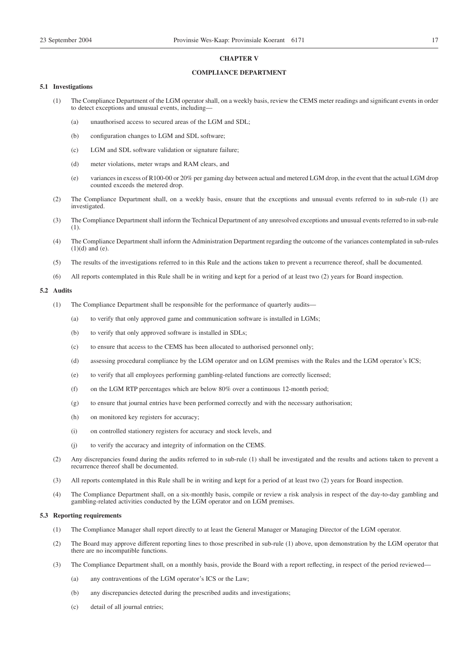#### **CHAPTER V**

#### **COMPLIANCE DEPARTMENT**

#### **5.1 Investigations**

- (1) The Compliance Department of the LGM operator shall, on a weekly basis, review the CEMS meter readings and significant events in order to detect exceptions and unusual events, including—
	- (a) unauthorised access to secured areas of the LGM and SDL;
	- (b) configuration changes to LGM and SDL software;
	- (c) LGM and SDL software validation or signature failure;
	- (d) meter violations, meter wraps and RAM clears, and
	- (e) variances in excess of R100-00 or 20% per gaming day between actual and metered LGM drop, in the event that the actual LGM drop counted exceeds the metered drop.
- (2) The Compliance Department shall, on a weekly basis, ensure that the exceptions and unusual events referred to in sub-rule (1) are investigated.
- (3) The Compliance Department shall inform the Technical Department of any unresolved exceptions and unusual events referred to in sub-rule (1).
- (4) The Compliance Department shall inform the Administration Department regarding the outcome of the variances contemplated in sub-rules  $(1)(d)$  and  $(e)$ .
- (5) The results of the investigations referred to in this Rule and the actions taken to prevent a recurrence thereof, shall be documented.
- (6) All reports contemplated in this Rule shall be in writing and kept for a period of at least two (2) years for Board inspection.

#### **5.2 Audits**

- (1) The Compliance Department shall be responsible for the performance of quarterly audits—
	- (a) to verify that only approved game and communication software is installed in LGMs;
	- (b) to verify that only approved software is installed in SDLs;
	- (c) to ensure that access to the CEMS has been allocated to authorised personnel only;
	- (d) assessing procedural compliance by the LGM operator and on LGM premises with the Rules and the LGM operator's ICS;
	- (e) to verify that all employees performing gambling-related functions are correctly licensed;
	- (f) on the LGM RTP percentages which are below 80% over a continuous 12-month period;
	- (g) to ensure that journal entries have been performed correctly and with the necessary authorisation;
	- (h) on monitored key registers for accuracy;
	- (i) on controlled stationery registers for accuracy and stock levels, and
	- (j) to verify the accuracy and integrity of information on the CEMS.
- (2) Any discrepancies found during the audits referred to in sub-rule (1) shall be investigated and the results and actions taken to prevent a recurrence thereof shall be documented.
- (3) All reports contemplated in this Rule shall be in writing and kept for a period of at least two (2) years for Board inspection.
- (4) The Compliance Department shall, on a six-monthly basis, compile or review a risk analysis in respect of the day-to-day gambling and gambling-related activities conducted by the LGM operator and on LGM premises.

#### **5.3 Reporting requirements**

- (1) The Compliance Manager shall report directly to at least the General Manager or Managing Director of the LGM operator.
- (2) The Board may approve different reporting lines to those prescribed in sub-rule (1) above, upon demonstration by the LGM operator that there are no incompatible functions.
- (3) The Compliance Department shall, on a monthly basis, provide the Board with a report reflecting, in respect of the period reviewed—
	- (a) any contraventions of the LGM operator's ICS or the Law;
	- (b) any discrepancies detected during the prescribed audits and investigations;
	- (c) detail of all journal entries;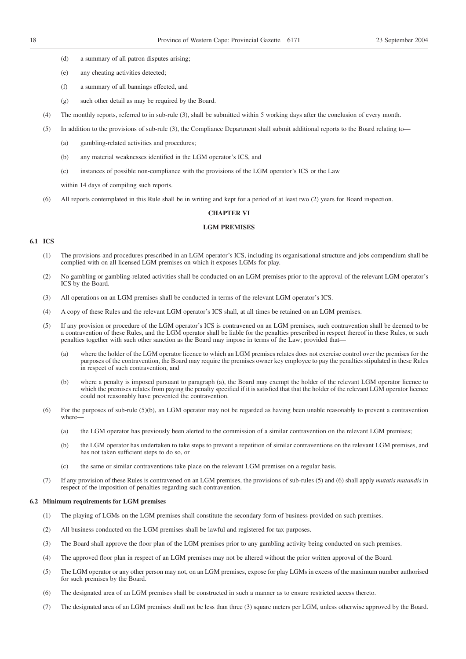- (d) a summary of all patron disputes arising;
- (e) any cheating activities detected;
- (f) a summary of all bannings effected, and
- (g) such other detail as may be required by the Board.
- (4) The monthly reports, referred to in sub-rule (3), shall be submitted within 5 working days after the conclusion of every month.
- (5) In addition to the provisions of sub-rule (3), the Compliance Department shall submit additional reports to the Board relating to—
	- (a) gambling-related activities and procedures;
	- (b) any material weaknesses identified in the LGM operator's ICS, and
	- (c) instances of possible non-compliance with the provisions of the LGM operator's ICS or the Law

within 14 days of compiling such reports.

(6) All reports contemplated in this Rule shall be in writing and kept for a period of at least two (2) years for Board inspection.

#### **CHAPTER VI**

#### **LGM PREMISES**

#### **6.1 ICS**

- (1) The provisions and procedures prescribed in an LGM operator's ICS, including its organisational structure and jobs compendium shall be complied with on all licensed LGM premises on which it exposes LGMs for play.
- (2) No gambling or gambling-related activities shall be conducted on an LGM premises prior to the approval of the relevant LGM operator's ICS by the Board.
- (3) All operations on an LGM premises shall be conducted in terms of the relevant LGM operator's ICS.
- (4) A copy of these Rules and the relevant LGM operator's ICS shall, at all times be retained on an LGM premises.
- (5) If any provision or procedure of the LGM operator's ICS is contravened on an LGM premises, such contravention shall be deemed to be a contravention of these Rules, and the LGM operator shall be liable for the penalties prescribed in respect thereof in these Rules, or such penalties together with such other sanction as the Board may impose in terms of the Law; provided that—
	- (a) where the holder of the LGM operator licence to which an LGM premises relates does not exercise control over the premises for the purposes of the contravention, the Board may require the premises owner key employee to pay the penalties stipulated in these Rules in respect of such contravention, and
	- (b) where a penalty is imposed pursuant to paragraph (a), the Board may exempt the holder of the relevant LGM operator licence to which the premises relates from paying the penalty specified if it is satisfied that that the holder of the relevant LGM operator licence could not reasonably have prevented the contravention.
- (6) For the purposes of sub-rule (5)(b), an LGM operator may not be regarded as having been unable reasonably to prevent a contravention where—
	- (a) the LGM operator has previously been alerted to the commission of a similar contravention on the relevant LGM premises;
	- (b) the LGM operator has undertaken to take steps to prevent a repetition of similar contraventions on the relevant LGM premises, and has not taken sufficient steps to do so, or
	- (c) the same or similar contraventions take place on the relevant LGM premises on a regular basis.
- (7) If any provision of these Rules is contravened on an LGM premises, the provisions of sub-rules (5) and (6) shall apply *mutatis mutandis* in respect of the imposition of penalties regarding such contravention.

#### **6.2 Minimum requirements for LGM premises**

- (1) The playing of LGMs on the LGM premises shall constitute the secondary form of business provided on such premises.
- (2) All business conducted on the LGM premises shall be lawful and registered for tax purposes.
- (3) The Board shall approve the floor plan of the LGM premises prior to any gambling activity being conducted on such premises.
- (4) The approved floor plan in respect of an LGM premises may not be altered without the prior written approval of the Board.
- (5) The LGM operator or any other person may not, on an LGM premises, expose for play LGMs in excess of the maximum number authorised for such premises by the Board.
- (6) The designated area of an LGM premises shall be constructed in such a manner as to ensure restricted access thereto.
- (7) The designated area of an LGM premises shall not be less than three (3) square meters per LGM, unless otherwise approved by the Board.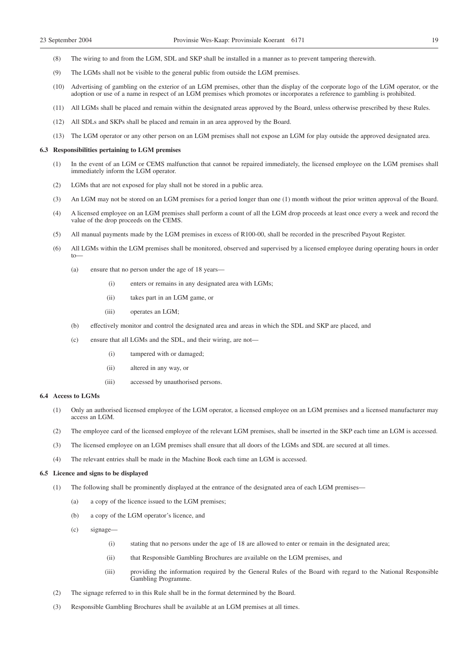- (8) The wiring to and from the LGM, SDL and SKP shall be installed in a manner as to prevent tampering therewith.
- (9) The LGMs shall not be visible to the general public from outside the LGM premises.
- (10) Advertising of gambling on the exterior of an LGM premises, other than the display of the corporate logo of the LGM operator, or the adoption or use of a name in respect of an LGM premises which promotes or incorporates a reference to gambling is prohibited.
- (11) All LGMs shall be placed and remain within the designated areas approved by the Board, unless otherwise prescribed by these Rules.
- (12) All SDLs and SKPs shall be placed and remain in an area approved by the Board.
- (13) The LGM operator or any other person on an LGM premises shall not expose an LGM for play outside the approved designated area.

#### **6.3 Responsibilities pertaining to LGM premises**

- (1) In the event of an LGM or CEMS malfunction that cannot be repaired immediately, the licensed employee on the LGM premises shall immediately inform the LGM operator.
- (2) LGMs that are not exposed for play shall not be stored in a public area.
- (3) An LGM may not be stored on an LGM premises for a period longer than one (1) month without the prior written approval of the Board.
- (4) A licensed employee on an LGM premises shall perform a count of all the LGM drop proceeds at least once every a week and record the value of the drop proceeds on the CEMS.
- (5) All manual payments made by the LGM premises in excess of R100-00, shall be recorded in the prescribed Payout Register.
- (6) All LGMs within the LGM premises shall be monitored, observed and supervised by a licensed employee during operating hours in order  $t_0$ 
	- (a) ensure that no person under the age of 18 years—
		- (i) enters or remains in any designated area with LGMs;
		- (ii) takes part in an LGM game, or
		- (iii) operates an LGM;
	- (b) effectively monitor and control the designated area and areas in which the SDL and SKP are placed, and
	- (c) ensure that all LGMs and the SDL, and their wiring, are not—
		- (i) tampered with or damaged;
		- (ii) altered in any way, or
		- (iii) accessed by unauthorised persons.

#### **6.4 Access to LGMs**

- (1) Only an authorised licensed employee of the LGM operator, a licensed employee on an LGM premises and a licensed manufacturer may access an LGM.
- (2) The employee card of the licensed employee of the relevant LGM premises, shall be inserted in the SKP each time an LGM is accessed.
- (3) The licensed employee on an LGM premises shall ensure that all doors of the LGMs and SDL are secured at all times.
- (4) The relevant entries shall be made in the Machine Book each time an LGM is accessed.

#### **6.5 Licence and signs to be displayed**

- (1) The following shall be prominently displayed at the entrance of the designated area of each LGM premises—
	- (a) a copy of the licence issued to the LGM premises;
	- (b) a copy of the LGM operator's licence, and
	- (c) signage—
		- (i) stating that no persons under the age of 18 are allowed to enter or remain in the designated area;
		- (ii) that Responsible Gambling Brochures are available on the LGM premises, and
		- (iii) providing the information required by the General Rules of the Board with regard to the National Responsible Gambling Programme.
- (2) The signage referred to in this Rule shall be in the format determined by the Board.
- (3) Responsible Gambling Brochures shall be available at an LGM premises at all times.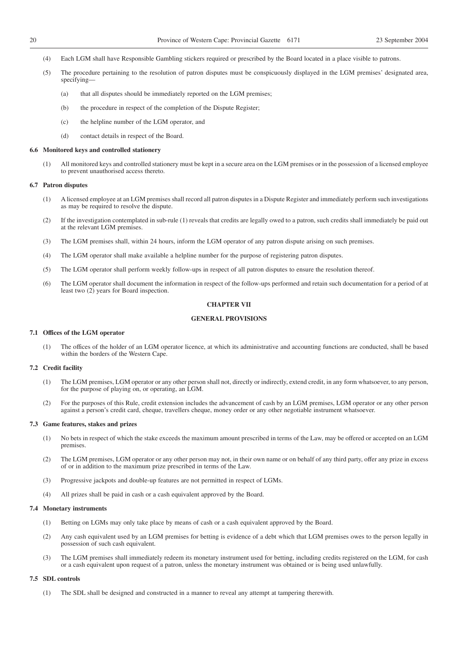- (4) Each LGM shall have Responsible Gambling stickers required or prescribed by the Board located in a place visible to patrons.
- (5) The procedure pertaining to the resolution of patron disputes must be conspicuously displayed in the LGM premises' designated area, specifying—
	- (a) that all disputes should be immediately reported on the LGM premises;
	- (b) the procedure in respect of the completion of the Dispute Register;
	- (c) the helpline number of the LGM operator, and
	- (d) contact details in respect of the Board.

#### **6.6 Monitored keys and controlled stationery**

(1) All monitored keys and controlled stationery must be kept in a secure area on the LGM premises or in the possession of a licensed employee to prevent unauthorised access thereto.

#### **6.7 Patron disputes**

- (1) A licensed employee at an LGM premises shall record all patron disputes in a Dispute Register and immediately perform such investigations as may be required to resolve the dispute.
- (2) If the investigation contemplated in sub-rule (1) reveals that credits are legally owed to a patron, such credits shall immediately be paid out at the relevant LGM premises.
- (3) The LGM premises shall, within 24 hours, inform the LGM operator of any patron dispute arising on such premises.
- (4) The LGM operator shall make available a helpline number for the purpose of registering patron disputes.
- (5) The LGM operator shall perform weekly follow-ups in respect of all patron disputes to ensure the resolution thereof.
- (6) The LGM operator shall document the information in respect of the follow-ups performed and retain such documentation for a period of at least two (2) years for Board inspection.

#### **CHAPTER VII**

#### **GENERAL PROVISIONS**

#### **7.1 Offices of the LGM operator**

(1) The offices of the holder of an LGM operator licence, at which its administrative and accounting functions are conducted, shall be based within the borders of the Western Cape.

#### **7.2 Credit facility**

- (1) The LGM premises, LGM operator or any other person shall not, directly or indirectly, extend credit, in any form whatsoever, to any person, for the purpose of playing on, or operating, an LGM.
- (2) For the purposes of this Rule, credit extension includes the advancement of cash by an LGM premises, LGM operator or any other person against a person's credit card, cheque, travellers cheque, money order or any other negotiable instrument whatsoever.

#### **7.3 Game features, stakes and prizes**

- (1) No bets in respect of which the stake exceeds the maximum amount prescribed in terms of the Law, may be offered or accepted on an LGM premises.
- (2) The LGM premises, LGM operator or any other person may not, in their own name or on behalf of any third party, offer any prize in excess of or in addition to the maximum prize prescribed in terms of the Law.
- (3) Progressive jackpots and double-up features are not permitted in respect of LGMs.
- (4) All prizes shall be paid in cash or a cash equivalent approved by the Board.

#### **7.4 Monetary instruments**

- (1) Betting on LGMs may only take place by means of cash or a cash equivalent approved by the Board.
- (2) Any cash equivalent used by an LGM premises for betting is evidence of a debt which that LGM premises owes to the person legally in possession of such cash equivalent.
- (3) The LGM premises shall immediately redeem its monetary instrument used for betting, including credits registered on the LGM, for cash or a cash equivalent upon request of a patron, unless the monetary instrument was obtained or is being used unlawfully.

#### **7.5 SDL controls**

(1) The SDL shall be designed and constructed in a manner to reveal any attempt at tampering therewith.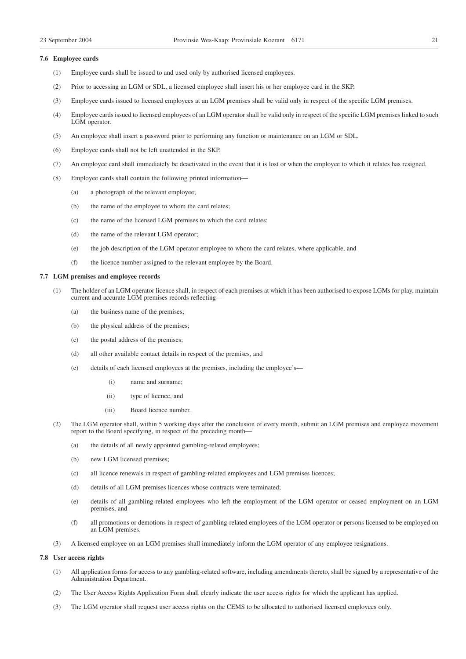#### **7.6 Employee cards**

- (1) Employee cards shall be issued to and used only by authorised licensed employees.
- (2) Prior to accessing an LGM or SDL, a licensed employee shall insert his or her employee card in the SKP.
- (3) Employee cards issued to licensed employees at an LGM premises shall be valid only in respect of the specific LGM premises.
- (4) Employee cards issued to licensed employees of an LGM operator shall be valid only in respect of the specific LGM premises linked to such LGM operator.
- (5) An employee shall insert a password prior to performing any function or maintenance on an LGM or SDL.
- (6) Employee cards shall not be left unattended in the SKP.
- (7) An employee card shall immediately be deactivated in the event that it is lost or when the employee to which it relates has resigned.
- (8) Employee cards shall contain the following printed information—
	- (a) a photograph of the relevant employee;
	- (b) the name of the employee to whom the card relates;
	- (c) the name of the licensed LGM premises to which the card relates;
	- (d) the name of the relevant LGM operator;
	- (e) the job description of the LGM operator employee to whom the card relates, where applicable, and
	- (f) the licence number assigned to the relevant employee by the Board.

#### **7.7 LGM premises and employee records**

- (1) The holder of an LGM operator licence shall, in respect of each premises at which it has been authorised to expose LGMs for play, maintain current and accurate LGM premises records reflecting—
	- (a) the business name of the premises;
	- (b) the physical address of the premises;
	- (c) the postal address of the premises;
	- (d) all other available contact details in respect of the premises, and
	- (e) details of each licensed employees at the premises, including the employee's—
		- (i) name and surname;
		- (ii) type of licence, and
		- (iii) Board licence number.
- (2) The LGM operator shall, within 5 working days after the conclusion of every month, submit an LGM premises and employee movement report to the Board specifying, in respect of the preceding month—
	- (a) the details of all newly appointed gambling-related employees;
	- (b) new LGM licensed premises;
	- (c) all licence renewals in respect of gambling-related employees and LGM premises licences;
	- (d) details of all LGM premises licences whose contracts were terminated;
	- (e) details of all gambling-related employees who left the employment of the LGM operator or ceased employment on an LGM premises, and
	- (f) all promotions or demotions in respect of gambling-related employees of the LGM operator or persons licensed to be employed on an LGM premises.
- (3) A licensed employee on an LGM premises shall immediately inform the LGM operator of any employee resignations.

#### **7.8 User access rights**

- (1) All application forms for access to any gambling-related software, including amendments thereto, shall be signed by a representative of the Administration Department.
- (2) The User Access Rights Application Form shall clearly indicate the user access rights for which the applicant has applied.
- (3) The LGM operator shall request user access rights on the CEMS to be allocated to authorised licensed employees only.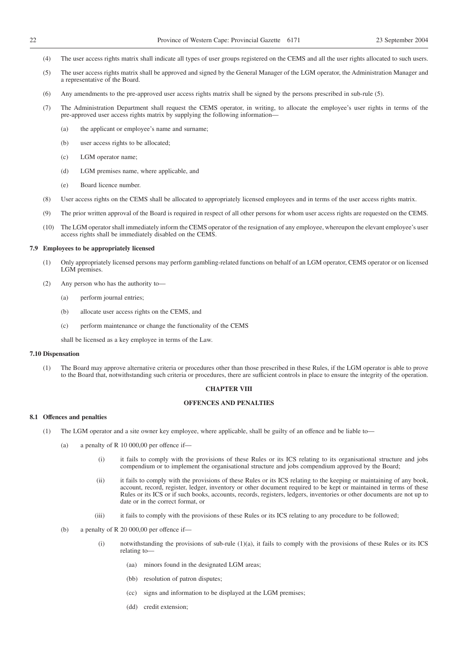- (4) The user access rights matrix shall indicate all types of user groups registered on the CEMS and all the user rights allocated to such users.
- (5) The user access rights matrix shall be approved and signed by the General Manager of the LGM operator, the Administration Manager and a representative of the Board.
- (6) Any amendments to the pre-approved user access rights matrix shall be signed by the persons prescribed in sub-rule (5).
- (7) The Administration Department shall request the CEMS operator, in writing, to allocate the employee's user rights in terms of the pre-approved user access rights matrix by supplying the following information—
	- (a) the applicant or employee's name and surname;
	- (b) user access rights to be allocated;
	- (c) LGM operator name;
	- (d) LGM premises name, where applicable, and
	- (e) Board licence number.
- (8) User access rights on the CEMS shall be allocated to appropriately licensed employees and in terms of the user access rights matrix.
- (9) The prior written approval of the Board is required in respect of all other persons for whom user access rights are requested on the CEMS.
- (10) The LGM operator shall immediately inform the CEMS operator of the resignation of any employee, whereupon the elevant employee's user access rights shall be immediately disabled on the CEMS.

#### **7.9 Employees to be appropriately licensed**

- (1) Only appropriately licensed persons may perform gambling-related functions on behalf of an LGM operator, CEMS operator or on licensed LGM premises.
- (2) Any person who has the authority to—
	- (a) perform journal entries;
	- (b) allocate user access rights on the CEMS, and
	- (c) perform maintenance or change the functionality of the CEMS

shall be licensed as a key employee in terms of the Law.

#### **7.10 Dispensation**

(1) The Board may approve alternative criteria or procedures other than those prescribed in these Rules, if the LGM operator is able to prove to the Board that, notwithstanding such criteria or procedures, there are sufficient controls in place to ensure the integrity of the operation.

#### **CHAPTER VIII**

#### **OFFENCES AND PENALTIES**

#### **8.1 Offences and penalties**

- (1) The LGM operator and a site owner key employee, where applicable, shall be guilty of an offence and be liable to—
	- (a) a penalty of R 10 000,00 per offence if—
		- (i) it fails to comply with the provisions of these Rules or its ICS relating to its organisational structure and jobs compendium or to implement the organisational structure and jobs compendium approved by the Board;
		- (ii) it fails to comply with the provisions of these Rules or its ICS relating to the keeping or maintaining of any book, account, record, register, ledger, inventory or other document required to be kept or maintained in terms of these Rules or its ICS or if such books, accounts, records, registers, ledgers, inventories or other documents are not up to date or in the correct format, or
		- (iii) it fails to comply with the provisions of these Rules or its ICS relating to any procedure to be followed;
	- (b) a penalty of R 20 000,00 per offence if—
		- (i) notwithstanding the provisions of sub-rule (1)(a), it fails to comply with the provisions of these Rules or its ICS relating to—
			- (aa) minors found in the designated LGM areas;
			- (bb) resolution of patron disputes;
			- (cc) signs and information to be displayed at the LGM premises;
			- (dd) credit extension;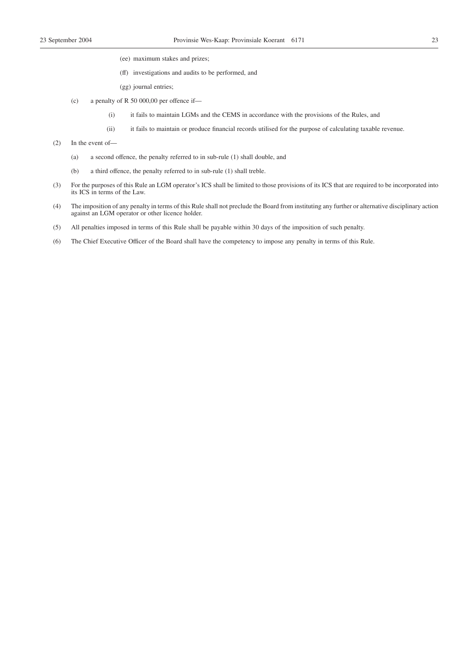- (ee) maximum stakes and prizes;
- (ff) investigations and audits to be performed, and
- (gg) journal entries;
- (c) a penalty of R 50 000,00 per offence if—
	- (i) it fails to maintain LGMs and the CEMS in accordance with the provisions of the Rules, and
	- (ii) it fails to maintain or produce financial records utilised for the purpose of calculating taxable revenue.
- (2) In the event of—
	- (a) a second offence, the penalty referred to in sub-rule (1) shall double, and
	- (b) a third offence, the penalty referred to in sub-rule (1) shall treble.
- (3) For the purposes of this Rule an LGM operator's ICS shall be limited to those provisions of its ICS that are required to be incorporated into its ICS in terms of the Law.
- (4) The imposition of any penalty in terms of this Rule shall not preclude the Board from instituting any further or alternative disciplinary action against an LGM operator or other licence holder.
- (5) All penalties imposed in terms of this Rule shall be payable within 30 days of the imposition of such penalty.
- (6) The Chief Executive Officer of the Board shall have the competency to impose any penalty in terms of this Rule.